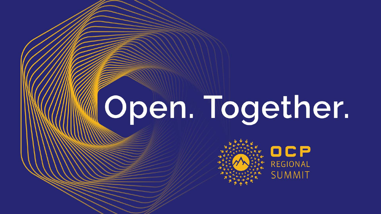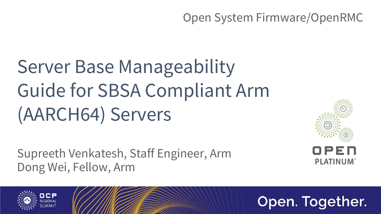## **Server Base Manageability** Guide for SBSA Compliant Arm (AARCH64) Servers

Supreeth Venkatesh, Staff Engineer, Arm Dong Wei, Fellow, Arm





#### Open System Firmware/OpenRMC

#### Open. Together.



**PLATINUM**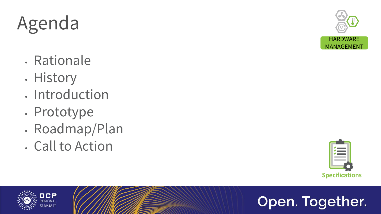## Agenda

- Rationale
- History
- Introduction
- Prototype
- Roadmap/Plan
- Call to Action











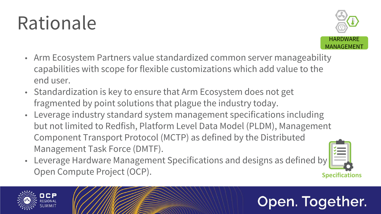## Rationale

- Arm Ecosystem Partners value standardized common server manageability capabilities with scope for flexible customizations which add value to the end user.
- Standardization is key to ensure that Arm Ecosystem does not get fragmented by point solutions that plague the industry today.
- Leverage industry standard system management specifications including Component Transport Protocol (MCTP) as defined by the Distributed Management Task Force (DMTF).
- Leverage Hardware Management Specifications and designs as defined by **Open Compute Project (OCP).** Specifications



but not limited to Redfish, Platform Level Data Model (PLDM), Management











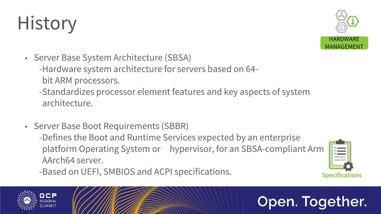## History

- Server Base System Architecture (SBSA) -Hardware system architecture for servers based on 64 bit ARM processors.
	- -Standardizes processor element features and key aspects of system architecture.
- Server Base Boot Requirements (SBBR) -Defines the Boot and Runtime Services expected by an enterprise AArch64 server. -Based on UEFI, SMBIOS and ACPI specifications. **Specifications**





## Open. Together.

platform Operating System or hypervisor, for an SBSA-compliant Arm

![](_page_4_Picture_9.jpeg)

![](_page_4_Picture_11.jpeg)

![](_page_4_Picture_12.jpeg)

![](_page_4_Picture_13.jpeg)

![](_page_4_Picture_14.jpeg)

![](_page_4_Picture_15.jpeg)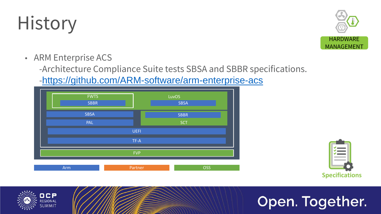## History

• ARM Enterprise ACS -Architecture Compliance Suite tests SBSA and SBBR specifications. -<https://github.com/ARM-software/arm-enterprise-acs>

![](_page_5_Picture_7.jpeg)

![](_page_5_Picture_9.jpeg)

![](_page_5_Picture_10.jpeg)

![](_page_5_Picture_11.jpeg)

![](_page_5_Picture_5.jpeg)

![](_page_5_Picture_3.jpeg)

![](_page_5_Picture_4.jpeg)

![](_page_5_Figure_2.jpeg)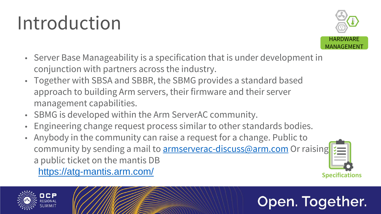## Introduction

- Server Base Manageability is a specification that is under development in conjunction with partners across the industry.
- Together with SBSA and SBBR, the SBMG provides a standard based approach to building Arm servers, their firmware and their server management capabilities.
- SBMG is developed within the Arm ServerAC community.
- Engineering change request process similar to other standards bodies.
- Anybody in the community can raise a request for a change. Public to community by sending a mail to **[armserverac-discuss@arm.com](mailto:armserverac-discuss@arm.com)** Or raising a public ticket on the mantis DB <https://atg-mantis.arm.com/> **Specifications**

![](_page_6_Picture_6.jpeg)

![](_page_6_Picture_7.jpeg)

![](_page_6_Picture_8.jpeg)

![](_page_6_Picture_10.jpeg)

![](_page_6_Picture_11.jpeg)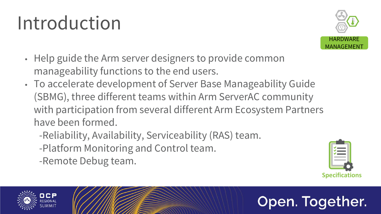## Introduction

- Help guide the Arm server designers to provide common manageability functions to the end users.
- To accelerate development of Server Base Manageability Guide (SBMG), three different teams within Arm ServerAC community with participation from several different Arm Ecosystem Partners have been formed.
	- -Reliability, Availability, Serviceability (RAS) team. -Platform Monitoring and Control team. -Remote Debug team.

![](_page_7_Picture_4.jpeg)

![](_page_7_Picture_5.jpeg)

![](_page_7_Picture_7.jpeg)

![](_page_7_Picture_9.jpeg)

![](_page_7_Picture_10.jpeg)

![](_page_7_Picture_11.jpeg)

![](_page_7_Picture_6.jpeg)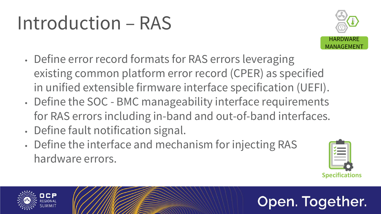## Introduction – RAS

- Define error record formats for RAS errors leveraging existing common platform error record (CPER) as specified
- Define the SOC BMC manageability interface requirements
- Define fault notification signal. • Define the interface and mechanism for injecting RAS hardware errors.

![](_page_8_Picture_4.jpeg)

![](_page_8_Picture_5.jpeg)

in unified extensible firmware interface specification (UEFI). for RAS errors including in-band and out-of-band interfaces.

![](_page_8_Picture_9.jpeg)

![](_page_8_Picture_11.jpeg)

![](_page_8_Picture_12.jpeg)

![](_page_8_Picture_13.jpeg)

![](_page_8_Picture_6.jpeg)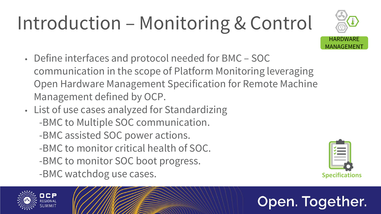# Introduction – Monitoring & Control

- Define interfaces and protocol needed for BMC SOC communication in the scope of Platform Monitoring leveraging Open Hardware Management Specification for Remote Machine Management defined by OCP.
- List of use cases analyzed for Standardizing -BMC to Multiple SOC communication. -BMC assisted SOC power actions. -BMC to monitor critical health of SOC. -BMC to monitor SOC boot progress. -BMC watchdog use cases. Specifications

![](_page_9_Picture_3.jpeg)

![](_page_9_Picture_4.jpeg)

![](_page_9_Picture_5.jpeg)

![](_page_9_Picture_7.jpeg)

![](_page_9_Picture_9.jpeg)

![](_page_9_Picture_10.jpeg)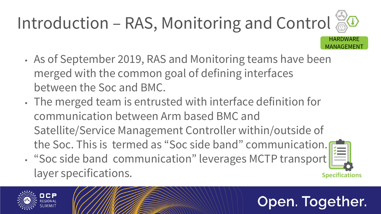- As of September 2019, RAS and Monitoring teams have been merged with the common goal of defining interfaces between the Soc and BMC.
- The merged team is entrusted with interface definition for communication between Arm based BMC and Satellite/Service Management Controller within/outside of the Soc. This is termed as "Soc side band" communication. • "Soc side band communication" leverages MCTP transport

layer specifications.

![](_page_10_Picture_4.jpeg)

![](_page_10_Picture_5.jpeg)

#### Open. Together.

![](_page_10_Picture_7.jpeg)

![](_page_10_Picture_8.jpeg)

![](_page_10_Picture_9.jpeg)

#### Introduction – RAS, Monitoring and Control HARDWARE MANAGEMENT

![](_page_10_Picture_10.jpeg)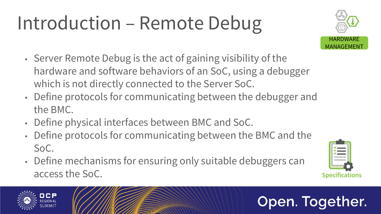# Introduction – Remote Debug

- Server Remote Debug is the act of gaining visibility of the hardware and software behaviors of an SoC, using a debugger which is not directly connected to the Server SoC.
- Define protocols for communicating between the debugger and the BMC.
- Define physical interfaces between BMC and SoC.
- Define protocols for communicating between the BMC and the SoC.
- Define mechanisms for ensuring only suitable debuggers can access the SoC. **Specifications**

![](_page_11_Picture_6.jpeg)

![](_page_11_Picture_7.jpeg)

![](_page_11_Picture_8.jpeg)

![](_page_11_Picture_12.jpeg)

![](_page_11_Picture_14.jpeg)

![](_page_11_Picture_15.jpeg)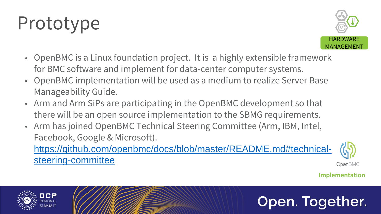## Prototype

- OpenBMC is a Linux foundation project. It is a highly extensible framework for BMC software and implement for data-center computer systems. • OpenBMC implementation will be used as a medium to realize Server Base
- Manageability Guide.
- Arm and Arm SiPs are participating in the OpenBMC development so that there will be an open source implementation to the SBMG requirements. • Arm has joined OpenBMC Technical Steering Committee (Arm, IBM, Intel,
- Facebook, Google & Microsoft). [https://github.com/openbmc/docs/blob/master/README.md#technical](https://github.com/openbmc/docs/blob/master/README.md#technical-steering-committee)steering-committee

![](_page_12_Picture_5.jpeg)

![](_page_12_Picture_6.jpeg)

**Implementation**

#### Open. Together.

![](_page_12_Picture_12.jpeg)

![](_page_12_Picture_18.jpeg)

![](_page_12_Picture_7.jpeg)

![](_page_12_Picture_8.jpeg)

OpenBMC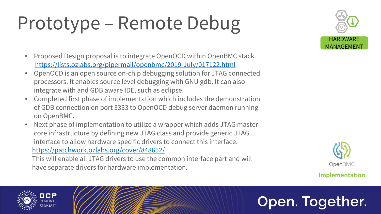## Prototype – Remote Debug

- Proposed Design proposal is to integrate OpenOCD within OpenBMC stack. <https://lists.ozlabs.org/pipermail/openbmc/2019-July/017122.html>
- OpenOCD is an open source on-chip debugging solution for JTAG connected processors. It enables source level debugging with GNU gdb. It can also integrate with and GDB aware IDE, such as eclipse.
- Completed first phase of implementation which includes the demonstration of GDB connection on port 3333 to OpenOCD debug server daemon running on OpenBMC.
- Next phase of implementation to utilize a wrapper which adds JTAG master core infrastructure by defining new JTAG class and provide generic JTAG interface to allow hardware specific drivers to connect this interface. <https://patchwork.ozlabs.org/cover/848652/> This will enable all JTAG drivers to use the common interface part and will have separate drivers for hardware implementation.

![](_page_13_Picture_5.jpeg)

![](_page_13_Picture_6.jpeg)

#### **Implementation**

![](_page_13_Picture_16.jpeg)

![](_page_13_Picture_7.jpeg)

![](_page_13_Picture_8.jpeg)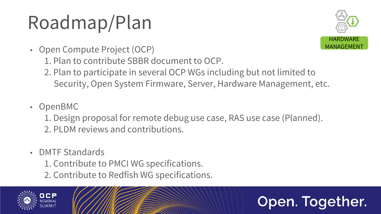## Roadmap/Plan

2. Plan to participate in several OCP WGs including but not limited to Security, Open System Firmware, Server, Hardware Management, etc.

- Open Compute Project (OCP) 1. Plan to contribute SBBR document to OCP.
	-
- OpenBMC
	-
	- 2. PLDM reviews and contributions.
- DMTF Standards
	- 1. Contribute to PMCI WG specifications. 2. Contribute to Redfish WG specifications.

![](_page_14_Picture_8.jpeg)

![](_page_14_Picture_9.jpeg)

1. Design proposal for remote debug use case, RAS use case (Planned).

![](_page_14_Picture_15.jpeg)

![](_page_14_Picture_16.jpeg)

![](_page_14_Picture_10.jpeg)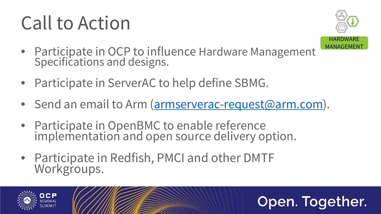## Call to Action

- Participate in OCP to influence Hardware Management Specifications and designs.
- Participate in ServerAC to help define SBMG.
- Send an email to Arm ([armserverac-request@arm.com\)](mailto:armserverac-request@arm.com).
- Participate in OpenBMC to enable reference implementation and open source delivery option.
- Participate in Redfish, PMCI and other DMTF Workgroups.

![](_page_15_Picture_6.jpeg)

![](_page_15_Picture_7.jpeg)

![](_page_15_Picture_10.jpeg)

![](_page_15_Picture_11.jpeg)

![](_page_15_Picture_12.jpeg)